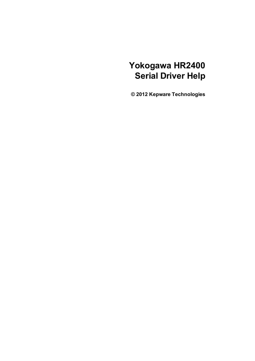# **Yokogawa HR2400 Serial Driver Help**

**© 2012 Kepware Technologies**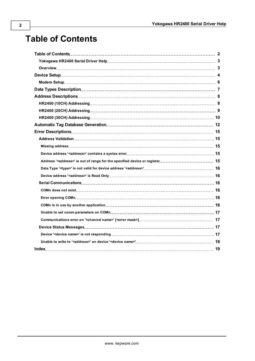# <span id="page-1-0"></span>**Table of Contents**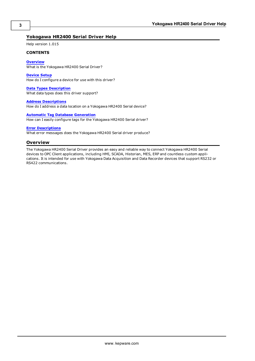# <span id="page-2-0"></span>**Yokogawa HR2400 Serial Driver Help**

Help version 1.015

# **CONTENTS**

## **[Overview](#page-2-1)**

What is the Yokogawa HR2400 Serial Driver?

#### **[Device](#page-3-0) [Setup](#page-3-0)**

How do I configure a device for use with this driver?

# **[Data](#page-6-0) [Types](#page-6-0) [Description](#page-6-0)**

What data types does this driver support?

#### **[Address](#page-7-0) [Descriptions](#page-7-0)**

How do I address a data location on a Yokogawa HR2400 Serial device?

## **[Automatic](#page-11-0) [Tag](#page-11-0) [Database](#page-11-0) [Generation](#page-11-0)**

How can I easily configure tags for the Yokogawa HR2400 Serial driver?

# **[Error](#page-14-0) [Descriptions](#page-14-0)**

<span id="page-2-1"></span>What error messages does the Yokogawa HR2400 Serial driver produce?

# **Overview**

The Yokogawa HR2400 Serial Driver provides an easy and reliable way to connect Yokogawa HR2400 Serial devices to OPC Client applications, including HMI, SCADA, Historian, MES, ERP and countless custom applications. It is intended for use with Yokogawa Data Acquisition and Data Recorder devices that support RS232 or RS422 communications.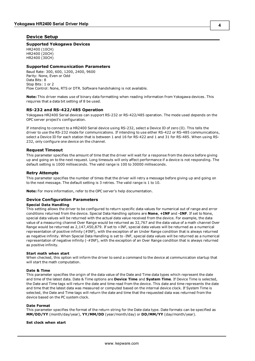# <span id="page-3-0"></span>**Device Setup**

# **Supported Yokogawa Devices**

HR2400 (10CH) HR2400 (20CH) HR2400 (30CH)

# **Supported Communication Parameters**

Baud Rate: 300, 600, 1200, 2400, 9600 Parity: None, Even or Odd Data Bits: 8 Stop Bits: 1 or 2 Flow Control: None, RTS or DTR. Software handshaking is not available.

**Note:** This driver makes use of binary data formatting when reading information from Yokogawa devices. This requires that a data bit setting of 8 be used.

## **RS-232 and RS-422/485 Operation**

Yokogawa HR2400 Serial devices can support RS-232 or RS-422/485 operation. The mode used depends on the OPC server project's configuration.

<span id="page-3-1"></span>If intending to connect to a HR2400 Serial device using RS-232, select a Device ID of zero (0). This tells the driver to use the RS-232 mode for communications. If intending to use either RS-422 or RS-485 communications, select a Device ID for each station that is between 1 and 16 for RS-422 and 1 and 31 for RS-485. When using RS-232, only configure one device on the channel.

## **Request Timeout**

This parameter specifies the amount of time that the driver will wait for a response from the device before giving up and going on to the next request. Long timeouts will only affect performance if a device is not responding. The default setting is 1000 milliseconds. The valid range is 100 to 30000 milliseconds.

#### **Retry Attempts**

This parameter specifies the number of times that the driver will retry a message before giving up and going on to the next message. The default setting is 3 retries. The valid range is 1 to 10.

**Note:** For more information, refer to the OPC server's help documentation.

## **Device Configuration Parameters**

#### **Special Data Handling**

This setting allows the driver to be configured to return specific data values for numerical out of range and error conditions returned from the device. Special Data Handling options are **None**, **+INF** and **-INF**. If set to None, special data values will be returned with the actual data value received from the device. For example, the data value of a measuring channel Over Range would be returned as 32,767 and the data value of a math channel Over Range would be returned as 2,147,450,879. If set to +INF, special data values will be returned as a numerical representation of positive infinity (#INF), with the exception of an Under Range condition that is always returned as negative infinity. When Special Data Handling is set to -INF, special data values will be returned as a numerical representation of negative infinity (-#INF), with the exception of an Over Range condition that is always returned as positive infinity.

#### **Start math when start**

When checked, this option will inform the driver to send a command to the device at communication startup that will start the math computation.

#### **Date & Time**

This parameter specifies the origin of the data value of the Date and Time data types which represent the date and time of the latest data. Date & Time options are **Device Time** and **System Time**. If Device Time is selected, the Date and Time tags will return the date and time read from the device. This date and time represents the date and time that the latest data was measured or computed based on the internal device clock. If System Time is selected, the Date and Time tags will return the date and time that the requested data was returned from the device based on the PC system clock.

#### **Date Format**

This parameter specifies the format of the return string for the Date data type. Date formats can be specified as **MM/DD/YY** (month/day/year), **YY/MM/DD** (year/month/day) or **DD/MM/YY** (day/month/year).

#### **Set clock when start**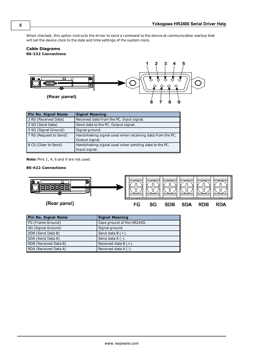When checked, this option instructs the driver to send a command to the device at communication startup that will set the device clock to the date and time settings of the system clock.

# **Cable Diagrams RS-232 Connections**



| Pin No. Signal Name    | <b>Signal Meaning</b>                                                      |
|------------------------|----------------------------------------------------------------------------|
| 2 RD (Received Data)   | Received data from the PC. Input signal.                                   |
| 3 SD (Send Data)       | Send data to the PC. Output signal.                                        |
| 5 SG (Signal Ground)   | Signal ground.                                                             |
| 7 RS (Request to Send) | Handshaking signal used when receiving data from the PC.<br>Output signal. |
| 8 CS (Clear to Send)   | Handshaking signal used when sending data to the PC.<br>Input signal.      |

**Note:** Pins 1, 4, 6 and 9 are not used.

# **RS-422 Connections**



| <b>Pin No. Signal Name</b> | <b>Signal Meaning</b>      |
|----------------------------|----------------------------|
| FG (Frame Ground)          | Case ground of the HR2400. |
| SG (Signal Ground)         | Signal ground.             |
| SDB (Send Data B)          | Send data $B(+)$ .         |
| SDA (Send Data A)          | Send data $A(-)$ .         |
| RDB (Received Data B)      | Received data $B (+)$ .    |
| RDA (Received Data A)      | Received data $A(-)$ .     |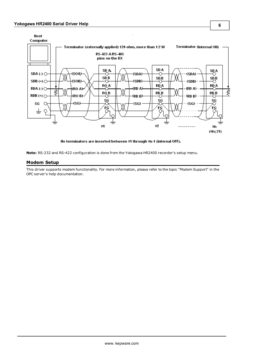

No terminators are inserted between #1 through #n-1 (internal OFF).

<span id="page-5-0"></span>**Note:** RS-232 and RS-422 configuration is done from the Yokogawa HR2400 recorder's setup menu.

# **Modem Setup**

This driver supports modem functionality. For more information, please refer to the topic "Modem Support" in the OPC server's help documentation.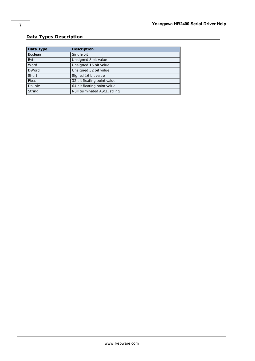# <span id="page-6-0"></span>**Data Types Description**

<span id="page-6-5"></span><span id="page-6-4"></span><span id="page-6-3"></span><span id="page-6-2"></span><span id="page-6-1"></span>

| Data Type    | <b>Description</b>           |
|--------------|------------------------------|
| Boolean      | Single bit                   |
| <b>Byte</b>  | Unsigned 8 bit value         |
| Word         | Unsigned 16 bit value        |
| <b>DWord</b> | Unsigned 32 bit value        |
| Short        | Signed 16 bit value          |
| Float        | 32 bit floating point value  |
| Double       | 64 bit floating point value  |
| String       | Null terminated ASCII string |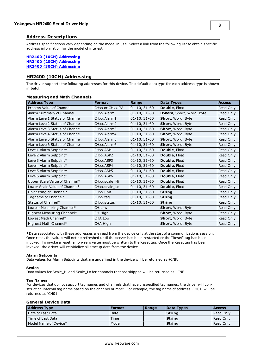# <span id="page-7-0"></span>**Address Descriptions**

Address specifications vary depending on the model in use. Select a link from the following list to obtain specific address information for the model of interest.

## **[HR2400](#page-7-1) [\(10CH\)](#page-7-1) [Addressing](#page-7-1) [HR2400](#page-8-0) [\(20CH\)](#page-8-0) [Addressing](#page-8-0) [HR2400](#page-9-0) [\(30CH\)](#page-9-0) [Addressing](#page-9-0)**

# <span id="page-7-1"></span>**HR2400 (10CH) Addressing**

The driver supports the following addresses for this device. The default data type for each address type is shown in **bold**.

# **Measuring and Math Channels**

| <b>Address Type</b>            | <b>Format</b>                       | Range          | <b>Data Types</b>        | <b>Access</b> |
|--------------------------------|-------------------------------------|----------------|--------------------------|---------------|
| Process Value of Channel       | CHxx or CHxx.PV                     | $01-10, 31-60$ | Double, Float            | Read Only     |
| Alarm Summary of Channel       | CHxx.Alarm                          | $01-10, 31-60$ | DWord, Short, Word, Byte | Read Only     |
| Alarm Level1 Status of Channel | CHxx.Alarm1                         | $01-10, 31-60$ | Short, Word, Byte        | Read Only     |
| Alarm Level2 Status of Channel | CHxx.Alarm2                         | $01-10, 31-60$ | Short, Word, Byte        | Read Only     |
| Alarm Level3 Status of Channel | CHxx.Alarm3                         | $01-10, 31-60$ | Short, Word, Byte        | Read Only     |
| Alarm Level4 Status of Channel | CHxx.Alarm4                         | $01-10, 31-60$ | Short, Word, Byte        | Read Only     |
| Alarm Level5 Status of Channel | CHxx.Alarm5                         | $01-10, 31-60$ | Short, Word, Byte        | Read Only     |
| Alarm Level6 Status of Channel | CHxx.Alarm6                         | $01-10, 31-60$ | Short, Word, Byte        | Read Only     |
| Level1 Alarm Setpoint*         | CHxx.ASP1                           | $01-10, 31-60$ | Double, Float            | Read Only     |
| Level2 Alarm Setpoint*         | CHxx.ASP2                           | $01-10, 31-60$ | Double, Float            | Read Only     |
| Level3 Alarm Setpoint*         | CHxx.ASP3                           | $01-10, 31-60$ | Double, Float            | Read Only     |
| Level4 Alarm Setpoint*         | CHxx.ASP4                           | $01-10, 31-60$ | Double, Float            | Read Only     |
| Level5 Alarm Setpoint*         | CH <sub>xx</sub> , ASP <sub>5</sub> | $01-10, 31-60$ | Double, Float            | Read Only     |
| Level6 Alarm Setpoint*         | CHxx.ASP6                           | $01-10, 31-60$ | Double, Float            | Read Only     |
| Upper Scale Value of Channel*  | CHxx.scale_Hi                       | $01-10, 31-60$ | Double, Float            | Read Only     |
| Lower Scale Value of Channel*  | CHxx.scale Lo                       | $01-10, 31-60$ | Double, Float            | Read Only     |
| Unit String of Channel*        | CHxx.unit                           | $01-10, 31-60$ | <b>String</b>            | Read Only     |
| Tagname of Channel*            | CHxx.tag                            | $01-10, 31-60$ | <b>String</b>            | Read Only     |
| Status of Channel*             | CHxx.status                         | $01-10, 31-60$ | <b>String</b>            | Read Only     |
| Lowest Measuring Channel*      | CH.Low                              |                | Short, Word, Byte        | Read Only     |
| Highest Measuring Channel*     | CH.High                             |                | Short, Word, Byte        | Read Only     |
| Lowest Math Channel*           | CHA.Low                             |                | Short, Word, Byte        | Read Only     |
| Highest Math Channel*          | CHA.High                            |                | Short, Word, Byte        | Read Only     |

**\***Data associated with these addresses are read from the device only at the start of a communications session. Once read, the values will not be refreshed until the server has been restarted or the "Reset" tag has been invoked. To invoke a reset, a non-zero value must be written to the Reset tag. Once the Reset tag has been invoked, the driver will reinitialize all startup data from the device.

## **Alarm Setpoints**

Data values for Alarm Setpoints that are undefined in the device will be returned as +INF.

#### **Scales**

Data values for Scale Hi and Scale Lo for channels that are skipped will be returned as +INF.

#### **Tag Names**

For devices that do not support tag names and channels that have unspecified tag names, the driver will construct an internal tag name based on the channel number. For example, the tag name of address 'CH01' will be returned as 'CH01'.

# **General Device Data**

| <b>Address Type</b>   | <b>Format</b> | Range | Data Types | <b>Access</b> |
|-----------------------|---------------|-------|------------|---------------|
| l Date of Last Data   | Date          |       | l Strina   | Read Only     |
| l Time of Last Data   | Time          |       | String     | Read Only     |
| Model Name of Device* | Model         |       | String     | l Read Only   |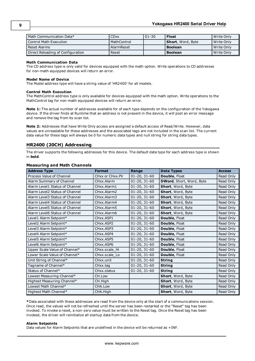| Math Communication Data*          | <b>CDxx</b> | $01 - 30$ | <b>Float</b>      | Write Only   |
|-----------------------------------|-------------|-----------|-------------------|--------------|
| Control Math Execution            | MathControl |           | Short, Word, Byte | Write Only   |
| l Reset Alarms                    | AlarmReset  |           | <b>Boolean</b>    | l Write Only |
| Direct Reloading of Configuration | Reset       |           | <b>Boolean</b>    | l Write Only |

#### **Math Communication Data**

The CD address type is only valid for devices equipped with the math option. Write operations to CD addresses for non-math equipped devices will return an error.

#### **Model Name of Device**

The Model address type will have a string value of 'HR2400' for all models.

#### **Control Math Execution**

The MathControl address type is only available for devices equipped with the math option. Write operations to the MathControl tag for non-math equipped devices will return an error.

**Note 1:** The actual number of addresses available for of each type depends on the configuration of the Yokogawa device. If the driver finds at Runtime that an address is not present in the device, it will post an error message and remove the tag from its scan list.

**Note 2:** Addresses that have Write Only access are assigned a default access of Read/Write. However, data values are unreadable for these addresses and the associated tags are not included in the scan list. The current data value for these tags will always be 0 for numeric data types and null string for string data types.

# <span id="page-8-0"></span>**HR2400 (20CH) Addressing**

The driver supports the following addresses for this device. The default data type for each address type is shown in **bold**.

| <b>Address Type</b>            | <b>Format</b>   | Range              | <b>Data Types</b>        | <b>Access</b> |
|--------------------------------|-----------------|--------------------|--------------------------|---------------|
| Process Value of Channel       | CHxx or CHxx.PV | $01-20, 31-60$     | Double, Float            | Read Only     |
| Alarm Summary of Channel       | CHxx.Alarm      | $01 - 20, 31 - 60$ | DWord, Short, Word, Byte | Read Only     |
| Alarm Level1 Status of Channel | CHxx.Alarm1     | $01 - 20, 31 - 60$ | Short, Word, Byte        | Read Only     |
| Alarm Level2 Status of Channel | CHxx.Alarm2     | $01 - 20, 31 - 60$ | Short, Word, Byte        | Read Only     |
| Alarm Level3 Status of Channel | CHxx.Alarm3     | $01 - 20, 31 - 60$ | Short, Word, Byte        | Read Only     |
| Alarm Level4 Status of Channel | CHxx.Alarm4     | $01 - 20, 31 - 60$ | Short, Word, Byte        | Read Only     |
| Alarm Level5 Status of Channel | CHxx.Alarm5     | $01 - 20, 31 - 60$ | Short, Word, Byte        | Read Only     |
| Alarm Level6 Status of Channel | CHxx.Alarm6     | $01 - 20, 31 - 60$ | Short, Word, Byte        | Read Only     |
| Level1 Alarm Setpoint*         | CHxx.ASP1       | $01 - 20, 31 - 60$ | Double, Float            | Read Only     |
| Level2 Alarm Setpoint*         | CHxx.ASP2       | $01 - 20, 31 - 60$ | Double, Float            | Read Only     |
| Level3 Alarm Setpoint*         | CHxx.ASP3       | $01 - 20, 31 - 60$ | Double, Float            | Read Only     |
| Level4 Alarm Setpoint*         | CHxx.ASP4       | $01 - 20, 31 - 60$ | Double, Float            | Read Only     |
| Level5 Alarm Setpoint*         | CHxx.ASP5       | $01 - 20, 31 - 60$ | Double, Float            | Read Only     |
| Level6 Alarm Setpoint*         | CHxx.ASP6       | $01 - 20, 31 - 60$ | Double, Float            | Read Only     |
| Upper Scale Value of Channel*  | CHxx.scale_Hi   | $01 - 20, 31 - 60$ | Double, Float            | Read Only     |
| Lower Scale Value of Channel*  | CHxx.scale_Lo   | $01 - 20, 31 - 60$ | Double, Float            | Read Only     |
| Unit String of Channel*        | CHxx.unit       | $01 - 20, 31 - 60$ | <b>String</b>            | Read Only     |
| Tagname of Channel*            | CHxx.tag        | $01 - 20, 31 - 60$ | <b>String</b>            | Read Only     |
| Status of Channel*             | CHxx.status     | $01 - 20, 31 - 60$ | <b>String</b>            | Read Only     |
| Lowest Measuring Channel*      | CH.Low          |                    | Short, Word, Byte        | Read Only     |
| Highest Measuring Channel*     | CH.High         |                    | Short, Word, Byte        | Read Only     |
| Lowest Math Channel*           | CHA.Low         |                    | Short, Word, Byte        | Read Only     |
| Highest Math Channel*          | CHA.High        |                    | Short, Word, Byte        | Read Only     |

# **Measuring and Math Channels**

**\***Data associated with these addresses are read from the device only at the start of a communications session. Once read, the values will not be refreshed until the server has been restarted or the "Reset" tag has been invoked. To invoke a reset, a non-zero value must be written to the Reset tag. Once the Reset tag has been invoked, the driver will reinitialize all startup data from the device.

#### **Alarm Setpoints**

Data values for Alarm Setpoints that are undefined in the device will be returned as +INF.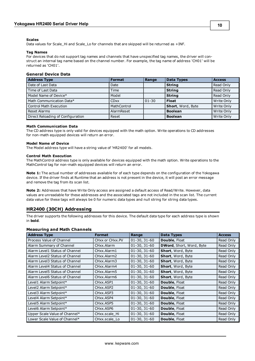#### **Scales**

Data values for Scale\_Hi and Scale\_Lo for channels that are skipped will be returned as +INF.

#### **Tag Names**

For devices that do not support tag names and channels that have unspecified tag names, the driver will construct an internal tag name based on the channel number. For example, the tag name of address 'CH01' will be returned as 'CH01'.

# **General Device Data**

| <b>Address Type</b>               | <b>Format</b> | Range     | <b>Data Types</b> | <b>Access</b> |
|-----------------------------------|---------------|-----------|-------------------|---------------|
| Date of Last Data                 | Date          |           | <b>String</b>     | Read Only     |
| Time of Last Data                 | Time          |           | <b>String</b>     | Read Only     |
| Model Name of Device*             | Model         |           | <b>String</b>     | Read Only     |
| Math Communication Data*          | <b>CD</b> xx  | $01 - 30$ | <b>Float</b>      | Write Only    |
| <b>Control Math Execution</b>     | MathControl   |           | Short, Word, Byte | Write Only    |
| Reset Alarms                      | AlarmReset    |           | <b>Boolean</b>    | Write Only    |
| Direct Reloading of Configuration | Reset         |           | <b>Boolean</b>    | Write Only    |

#### **Math Communication Data**

The CD address type is only valid for devices equipped with the math option. Write operations to CD addresses for non-math equipped devices will return an error.

#### **Model Name of Device**

The Model address type will have a string value of 'HR2400' for all models.

#### **Control Math Execution**

The MathControl address type is only available for devices equipped with the math option. Write operations to the MathControl tag for non-math equipped devices will return an error.

**Note 1:** The actual number of addresses available for of each type depends on the configuration of the Yokogawa device. If the driver finds at Runtime that an address is not present in the device, it will post an error message and remove the tag from its scan list.

**Note 2:** Addresses that have Write Only access are assigned a default access of Read/Write. However, data values are unreadable for these addresses and the associated tags are not included in the scan list. The current data value for these tags will always be 0 for numeric data types and null string for string data types.

# <span id="page-9-0"></span>**HR2400 (30CH) Addressing**

The driver supports the following addresses for this device. The default data type for each address type is shown in **bold**.

## **Measuring and Math Channels**

| <b>Address Type</b>            | <b>Format</b>                       | Range          | <b>Data Types</b>               | <b>Access</b> |
|--------------------------------|-------------------------------------|----------------|---------------------------------|---------------|
| Process Value of Channel       | CHxx or CHxx.PV                     | $01-30, 31-60$ | <b>Double, Float</b>            | Read Only     |
| Alarm Summary of Channel       | CHxx.Alarm                          | $01-30, 31-60$ | <b>DWord, Short, Word, Byte</b> | Read Only     |
| Alarm Level1 Status of Channel | CHxx.Alarm1                         | $01-30, 31-60$ | Short, Word, Byte               | Read Only     |
| Alarm Level2 Status of Channel | CHxx.Alarm2                         | $01-30, 31-60$ | <b>Short, Word, Byte</b>        | Read Only     |
| Alarm Level3 Status of Channel | CHxx.Alarm3                         | $01-30, 31-60$ | Short, Word, Byte               | Read Only     |
| Alarm Level4 Status of Channel | CHxx.Alarm4                         | $01-30, 31-60$ | Short, Word, Byte               | Read Only     |
| Alarm Level5 Status of Channel | CHxx.Alarm5                         | $01-30, 31-60$ | <b>Short, Word, Byte</b>        | Read Only     |
| Alarm Level6 Status of Channel | CHxx.Alarm6                         | $01-30, 31-60$ | <b>Short, Word, Byte</b>        | Read Only     |
| Level1 Alarm Setpoint*         | CHxx.ASP1                           | $01-30, 31-60$ | <b>Double, Float</b>            | Read Only     |
| Level2 Alarm Setpoint*         | CH <sub>xx</sub> , ASP <sub>2</sub> | $01-30, 31-60$ | <b>Double, Float</b>            | Read Only     |
| Level3 Alarm Setpoint*         | CHxx.ASP3                           | $01-30, 31-60$ | <b>Double, Float</b>            | Read Only     |
| Level4 Alarm Setpoint*         | CHxx.ASP4                           | $01-30, 31-60$ | Double, Float                   | Read Only     |
| Level5 Alarm Setpoint*         | CH <sub>xx</sub> , ASP <sub>5</sub> | $01-30, 31-60$ | <b>Double, Float</b>            | Read Only     |
| Level6 Alarm Setpoint*         | CH <sub>xx</sub> , ASP <sub>6</sub> | $01-30, 31-60$ | Double, Float                   | Read Only     |
| Upper Scale Value of Channel*  | CHxx.scale Hi                       | $01-30, 31-60$ | <b>Double, Float</b>            | Read Only     |
| Lower Scale Value of Channel*  | CHxx.scale Lo                       | $01-30, 31-60$ | Double, Float                   | Read Only     |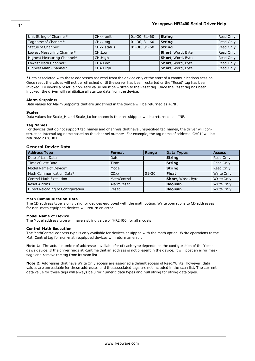| Unit String of Channel*    | CHxx.unit   | $01-30, 31-60$ | <b>String</b>     | Read Only |
|----------------------------|-------------|----------------|-------------------|-----------|
| Tagname of Channel*        | CHxx.tag    | $01-30, 31-60$ | <b>String</b>     | Read Only |
| Status of Channel*         | CHxx.status | $01-30, 31-60$ | String            | Read Only |
| Lowest Measuring Channel*  | CH.Low      |                | Short, Word, Byte | Read Only |
| Highest Measuring Channel* | CH.High     |                | Short, Word, Byte | Read Only |
| Lowest Math Channel*       | CHA.Low     |                | Short, Word, Byte | Read Only |
| Highest Math Channel*      | CHA.High    |                | Short, Word, Byte | Read Only |

**\***Data associated with these addresses are read from the device only at the start of a communications session. Once read, the values will not be refreshed until the server has been restarted or the "Reset" tag has been invoked. To invoke a reset, a non-zero value must be written to the Reset tag. Once the Reset tag has been invoked, the driver will reinitialize all startup data from the device.

## **Alarm Setpoints**

Data values for Alarm Setpoints that are undefined in the device will be returned as +INF.

#### **Scales**

Data values for Scale\_Hi and Scale\_Lo for channels that are skipped will be returned as +INF.

#### **Tag Names**

For devices that do not support tag names and channels that have unspecified tag names, the driver will construct an internal tag name based on the channel number. For example, the tag name of address 'CH01' will be returned as 'CH01'.

# **General Device Data**

| <b>Address Type</b>               | <b>Format</b> | Range     | <b>Data Types</b> | <b>Access</b> |
|-----------------------------------|---------------|-----------|-------------------|---------------|
| Date of Last Data                 | Date          |           | <b>String</b>     | Read Only     |
| Time of Last Data                 | Time          |           | <b>String</b>     | Read Only     |
| Model Name of Device*             | Model         |           | <b>String</b>     | Read Only     |
| Math Communication Data*          | <b>CDxx</b>   | $01 - 30$ | <b>Float</b>      | Write Only    |
| <b>Control Math Execution</b>     | MathControl   |           | Short, Word, Byte | Write Only    |
| <b>Reset Alarms</b>               | AlarmReset    |           | <b>Boolean</b>    | Write Only    |
| Direct Reloading of Configuration | Reset         |           | <b>Boolean</b>    | Write Only    |

## **Math Communication Data**

The CD address type is only valid for devices equipped with the math option. Write operations to CD addresses for non-math equipped devices will return an error.

## **Model Name of Device**

The Model address type will have a string value of 'HR2400' for all models.

## **Control Math Execution**

The MathControl address type is only available for devices equipped with the math option. Write operations to the MathControl tag for non-math equipped devices will return an error.

**Note 1:** The actual number of addresses available for of each type depends on the configuration of the Yokogawa device. If the driver finds at Runtime that an address is not present in the device, it will post an error message and remove the tag from its scan list.

**Note 2:** Addresses that have Write Only access are assigned a default access of Read/Write. However, data values are unreadable for these addresses and the associated tags are not included in the scan list. The current data value for these tags will always be 0 for numeric data types and null string for string data types.

**11**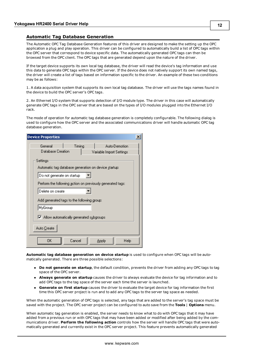# <span id="page-11-0"></span>**Automatic Tag Database Generation**

The Automatic OPC Tag Database Generation features of this driver are designed to make the setting up the OPC application a plug and play operation. This driver can be configured to automatically build a list of OPC tags within the OPC server that correspond to device specific data. The automatically generated OPC tags can then be browsed from the OPC client. The OPC tags that are generated depend upon the nature of the driver.

If the target device supports its own local tag database, the driver will read the device's tag information and use this data to generate OPC tags within the OPC server. If the device does not natively support its own named tags, the driver will create a list of tags based on information specific to the driver. An example of these two conditions may be as follows:

1. A data acquisition system that supports its own local tag database. The driver will use the tags names found in the device to build the OPC server's OPC tags.

2. An Ethernet I/O system that supports detection of I/O module type. The driver in this case will automatically generate OPC tags in the OPC server that are based on the types of I/O modules plugged into the Ethernet I/O rack.

The mode of operation for automatic tag database generation is completely configurable. The following dialog is used to configure how the OPC server and the associated communications driver will handle automatic OPC tag database generation.

| <b>Device Properties</b>                                                                                     |  |
|--------------------------------------------------------------------------------------------------------------|--|
| Timing<br>General<br>Auto-Demotion<br>Database Creation<br>Variable Import Settings                          |  |
| Settings<br>Automatic tag database generation on device <u>s</u> tartup:                                     |  |
| Do not generate on startup<br>Perform the following action on previously generated tags:<br>Delete on create |  |
| Add generated tags to the following group:<br>MyGroup                                                        |  |
| Ⅳ Allow automatically generated subgroups                                                                    |  |
| Auto Create<br>0K<br>Cancel<br>Apply<br>Help                                                                 |  |

**Automatic tag database generation on device startup** is used to configure when OPC tags will be automatically generated. There are three possible selections:

- **Do not generate on startup**, the default condition, prevents the driver from adding any OPC tags to tag space of the OPC server.
- **Always generate on startup** causes the driver to always evaluate the device for tag information and to add OPC tags to the tag space of the server each time the server is launched.
- **Generate on first startup** causes the driver to evaluate the target device for tag information the first time this OPC server project is run and to add any OPC tags to the server tag space as needed.

When the automatic generation of OPC tags is selected, any tags that are added to the server's tag space must be saved with the project. The OPC server project can be configured to auto save from the **Tools** | **Options** menu.

When automatic tag generation is enabled, the server needs to know what to do with OPC tags that it may have added from a previous run or with OPC tags that may have been added or modified after being added by the communications driver. **Perform the following action** controls how the server will handle OPC tags that were automatically generated and currently exist in the OPC server project. This feature prevents automatically generated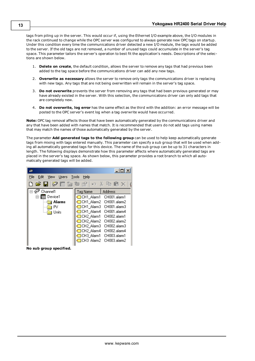tags from piling up in the server. This would occur if, using the Ethernet I/O example above, the I/O modules in the rack continued to change while the OPC server was configured to always generate new OPC tags on startup. Under this condition every time the communications driver detected a new I/O module, the tags would be added to the server. If the old tags are not removed, a number of unused tags could accumulate in the server's tag space. This parameter tailors the server's operation to best fit the application's needs. Descriptions of the selections are shown below.

- 1. **Delete on create**, the default condition, allows the server to remove any tags that had previous been added to the tag space before the communications driver can add any new tags.
- 2. **Overwrite as necessary** allows the server to remove only tags the communications driver is replacing with new tags. Any tags that are not being overwritten will remain in the server's tag space.
- 3. **Do not overwrite** prevents the server from removing any tags that had been previous generated or may have already existed in the server. With this selection, the communications driver can only add tags that are completely new.
- 4. **Do not overwrite, log error** has the same effect as the third with the addition: an error message will be posted to the OPC server's event log when a tag overwrite would have occurred.

**Note:** OPC tag removal affects those that have been automatically generated by the communications driver and any that have been added with names that match. It is recommended that users do not add tags using names that may match the names of those automatically generated by the server.

The parameter **Add generated tags to the following group** can be used to help keep automatically generate tags from mixing with tags entered manually. This parameter can specify a sub group that will be used when adding all automatically generated tags for this device. The name of the sub group can be up to 31 characters in length. The following displays demonstrate how this parameter affects where automatically generated tags are placed in the server's tag space. As shown below, this parameter provides a root branch to which all automatically generated tags will be added.



**No sub group specified.**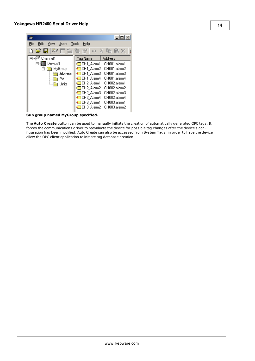

**Sub group named MyGroup specified.**

The **Auto Create** button can be used to manually initiate the creation of automatically generated OPC tags. It forces the communications driver to reevaluate the device for possible tag changes after the device's configuration has been modified. Auto Create can also be accessed from System Tags, in order to have the device allow the OPC client application to initiate tag database creation.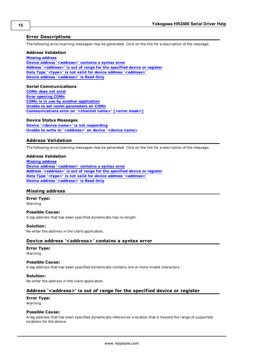# <span id="page-14-0"></span>**Error Descriptions**

The following error/warning messages may be generated. Click on the link for a description of the message.

# **Address Validation**

**[Missing](#page-14-2) [address](#page-14-2) [Device](#page-14-3) [address](#page-14-3) ['<address>'](#page-14-3) [contains](#page-14-3) [a](#page-14-3) [syntax](#page-14-3) [error](#page-14-3) [Address](#page-14-4) ['<address>'](#page-14-4) [is](#page-14-4) [out](#page-14-4) [of](#page-14-4) [range](#page-14-4) [for](#page-14-4) [the](#page-14-4) [specified](#page-14-4) [device](#page-14-4) [or](#page-14-4) [register](#page-14-4) [Data](#page-15-0) [Type](#page-15-0) ['<type>'](#page-15-0) [is](#page-15-0) [not](#page-15-0) [valid](#page-15-0) [for](#page-15-0) [device](#page-15-0) [address](#page-15-0) ['<address>'](#page-15-0) [Device](#page-15-1) [address](#page-15-1) ['<address>'](#page-15-1) [is](#page-15-1) [Read](#page-15-1) [Only](#page-15-1)** 

# **Serial Communications**

**[COMn](#page-15-3) [does](#page-15-3) [not](#page-15-3) [exist](#page-15-3) [Error](#page-15-4) [opening](#page-15-4) [COMn](#page-15-4) [COMn](#page-15-5) [is](#page-15-5) [in](#page-15-5) [use](#page-15-5) [by](#page-15-5) [another](#page-15-5) [application](#page-15-5) [Unable](#page-16-0) [to](#page-16-0) [set](#page-16-0) [comm](#page-16-0) [parameters](#page-16-0) [on](#page-16-0) [COMn](#page-16-0) [Communications](#page-16-1) [error](#page-16-1) [on](#page-16-1) ['<channel](#page-16-1) [name>'](#page-16-1) [\[<error](#page-16-1) [mask>\]](#page-16-1)**

# **Device Status Messages**

**[Device](#page-16-3) ['<device](#page-16-3) [name>'](#page-16-3) [is](#page-16-3) [not](#page-16-3) [responding](#page-16-3) [Unable](#page-17-0) [to](#page-17-0) [write](#page-17-0) [to](#page-17-0) ['<address>'](#page-17-0) [on](#page-17-0) [device](#page-17-0) ['<device](#page-17-0) [name>](#page-17-0)**

# <span id="page-14-1"></span>**Address Validation**

The following error/warning messages may be generated. Click on the link for a description of the message.

## **Address Validation**

**[Missing](#page-14-2) [address](#page-14-2) [Device](#page-14-3) [address](#page-14-3) ['<address>'](#page-14-3) [contains](#page-14-3) [a](#page-14-3) [syntax](#page-14-3) [error](#page-14-3) [Address](#page-14-4) ['<address>'](#page-14-4) [is](#page-14-4) [out](#page-14-4) [of](#page-14-4) [range](#page-14-4) [for](#page-14-4) [the](#page-14-4) [specified](#page-14-4) [device](#page-14-4) [or](#page-14-4) [register](#page-14-4) [Data](#page-15-0) [Type](#page-15-0) ['<type>'](#page-15-0) [is](#page-15-0) [not](#page-15-0) [valid](#page-15-0) [for](#page-15-0) [device](#page-15-0) [address](#page-15-0) ['<address>'](#page-15-0) [Device](#page-15-1) [address](#page-15-1) ['<address>'](#page-15-1) [is](#page-15-1) [Read](#page-15-1) [Only](#page-15-1)** 

# <span id="page-14-2"></span>**Missing address**

**Error Type:** Warning

## **Possible Cause:**

A tag address that has been specified dynamically has no length.

# **Solution:**

<span id="page-14-3"></span>Re-enter the address in the client application.

# Device address '<address>' contains a syntax error

# **Error Type:**

Warning

# **Possible Cause:**

A tag address that has been specified dynamically contains one or more invalid characters.

## **Solution:**

<span id="page-14-4"></span>Re-enter the address in the client application.

# **Address '<address>' is out of range for the specified device or register**

#### **Error Type:** Warning

# **Possible Cause:**

A tag address that has been specified dynamically references a location that is beyond the range of supported locations for the device.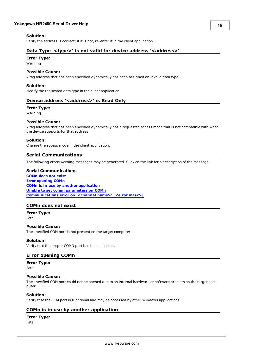# **Solution:**

<span id="page-15-0"></span>Verify the address is correct; if it is not, re-enter it in the client application.

# Data Type '<type>' is not valid for device address '<address>'

# **Error Type:**

Warning

# **Possible Cause:**

A tag address that has been specified dynamically has been assigned an invalid data type.

# **Solution:**

<span id="page-15-1"></span>Modify the requested data type in the client application.

# Device address '<address>' is Read Only

## **Error Type:**

Warning

# **Possible Cause:**

A tag address that has been specified dynamically has a requested access mode that is not compatible with what the device supports for that address.

# **Solution:**

<span id="page-15-2"></span>Change the access mode in the client application.

# **Serial Communications**

The following error/warning messages may be generated. Click on the link for a description of the message.

## **Serial Communications**

**[COMn](#page-15-3) [does](#page-15-3) [not](#page-15-3) [exist](#page-15-3) [Error](#page-15-4) [opening](#page-15-4) [COMn](#page-15-4) [COMn](#page-15-5) [is](#page-15-5) [in](#page-15-5) [use](#page-15-5) [by](#page-15-5) [another](#page-15-5) [application](#page-15-5) [Unable](#page-16-0) [to](#page-16-0) [set](#page-16-0) [comm](#page-16-0) [parameters](#page-16-0) [on](#page-16-0) [COMn](#page-16-0) [Communications](#page-16-1) [error](#page-16-1) [on](#page-16-1) ['<channel](#page-16-1) [name>'](#page-16-1) [\[<error](#page-16-1) [mask>\]](#page-16-1)**

# <span id="page-15-3"></span>**COMn does not exist**

**Error Type:** Fatal

## **Possible Cause:**

The specified COM port is not present on the target computer.

# **Solution:**

<span id="page-15-4"></span>Verify that the proper COMN port has been selected.

# **Error opening COMn**

**Error Type:** Fatal

## **Possible Cause:**

The specified COM port could not be opened due to an internal hardware or software problem on the target computer.

## **Solution:**

<span id="page-15-5"></span>Verify that the COM port is functional and may be accessed by other Windows applications.

# **COMn is in use by another application**

## **Error Type:**

Fatal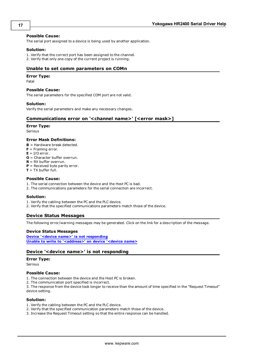# **Possible Cause:**

The serial port assigned to a device is being used by another application.

# **Solution:**

1. Verify that the correct port has been assigned to the channel. 2. Verify that only one copy of the current project is running.

# <span id="page-16-0"></span>**Unable to set comm parameters on COMn**

# **Error Type:**

Fatal

## **Possible Cause:**

The serial parameters for the specified COM port are not valid.

## **Solution:**

<span id="page-16-1"></span>Verify the serial parameters and make any necessary changes.

# **Communications error on '<channel name>' [<error mask>]**

#### **Error Type:**

Serious

## **Error Mask Definitions:**

- **B** = Hardware break detected.
- **F** = Framing error.
- $E = I/O$  error.
- **O** = Character buffer overrun.
- **R** = RX buffer overrun.
- **P** = Received byte parity error.
- $T = TX$  buffer full.

#### **Possible Cause:**

- 1. The serial connection between the device and the Host PC is bad.
- 2. The communications parameters for the serial connection are incorrect.

## **Solution:**

- 1. Verify the cabling between the PC and the PLC device.
- <span id="page-16-2"></span>2. Verify that the specified communications parameters match those of the device.

# **Device Status Messages**

The following error/warning messages may be generated. Click on the link for a description of the message.

# **Device Status Messages**

**[Device](#page-16-3) ['<device](#page-16-3) [name>'](#page-16-3) [is](#page-16-3) [not](#page-16-3) [responding](#page-16-3) [Unable](#page-17-0) [to](#page-17-0) [write](#page-17-0) [to](#page-17-0) ['<address>'](#page-17-0) [on](#page-17-0) [device](#page-17-0) ['<device](#page-17-0) [name>](#page-17-0)**

# <span id="page-16-3"></span>**Device '<device name>' is not responding**

## **Error Type:**

Serious

# **Possible Cause:**

1. The connection between the device and the Host PC is broken.

2. The communication port specified is incorrect.

3. The response from the device took longer to receive than the amount of time specified in the "Request Timeout" device setting.

# **Solution:**

- 1. Verify the cabling between the PC and the PLC device.
- 2. Verify that the specified communication parameters match those of the device.
- 3. Increase the Request Timeout setting so that the entire response can be handled.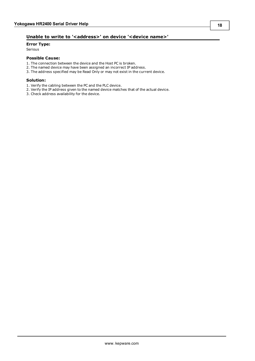# <span id="page-17-0"></span>Unable to write to '<address>' on device '<device name>'

# **Error Type:**

Serious

# **Possible Cause:**

- 1. The connection between the device and the Host PC is broken.
- 2. The named device may have been assigned an incorrect IP address.
- 3. The address specified may be Read Only or may not exist in the current device.

## **Solution:**

- 1. Verify the cabling between the PC and the PLC device.
- 2. Verify the IP address given to the named device matches that of the actual device.
- 3. Check address availability for the device.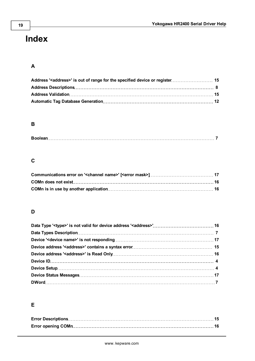# <span id="page-18-0"></span>**Index**

# **A**

# **B**

# **C**

# **D**

# **E**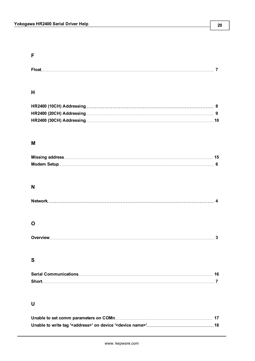| Float |  |  |
|-------|--|--|
|       |  |  |

# **H**

# **M**

# **N**

# **O**

|--|--|

# **S**

| <b>Short</b> |  |
|--------------|--|

# **U**